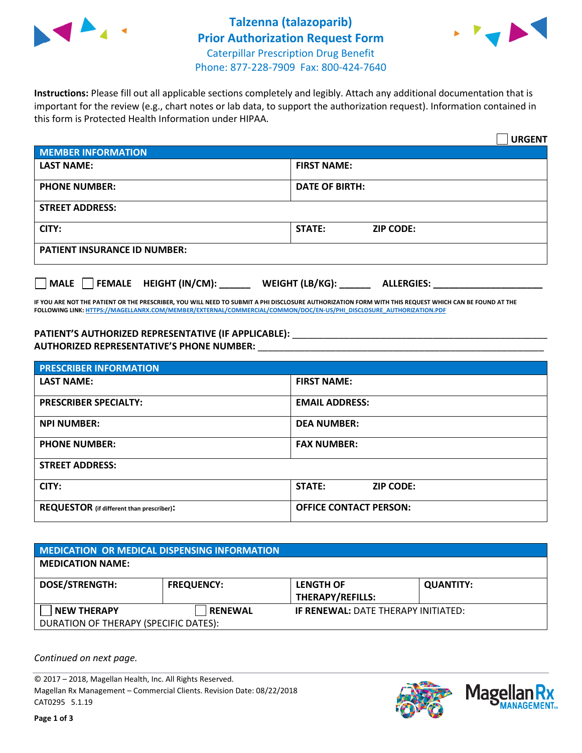



**Instructions:** Please fill out all applicable sections completely and legibly. Attach any additional documentation that is important for the review (e.g., chart notes or lab data, to support the authorization request). Information contained in this form is Protected Health Information under HIPAA.

|                                       | <b>URGENT</b>                        |  |  |  |
|---------------------------------------|--------------------------------------|--|--|--|
| <b>MEMBER INFORMATION</b>             |                                      |  |  |  |
| <b>LAST NAME:</b>                     | <b>FIRST NAME:</b>                   |  |  |  |
| <b>PHONE NUMBER:</b>                  | <b>DATE OF BIRTH:</b>                |  |  |  |
| <b>STREET ADDRESS:</b>                |                                      |  |  |  |
| CITY:                                 | STATE:<br><b>ZIP CODE:</b>           |  |  |  |
| <b>PATIENT INSURANCE ID NUMBER:</b>   |                                      |  |  |  |
| FEMALE HEIGHT (IN/CM):<br><b>MALE</b> | WEIGHT (LB/KG):<br><b>ALLERGIES:</b> |  |  |  |

**IF YOU ARE NOT THE PATIENT OR THE PRESCRIBER, YOU WILL NEED TO SUBMIT A PHI DISCLOSURE AUTHORIZATION FORM WITH THIS REQUEST WHICH CAN BE FOUND AT THE FOLLOWING LINK[: HTTPS://MAGELLANRX.COM/MEMBER/EXTERNAL/COMMERCIAL/COMMON/DOC/EN-US/PHI\\_DISCLOSURE\\_AUTHORIZATION.PDF](https://magellanrx.com/member/external/commercial/common/doc/en-us/PHI_Disclosure_Authorization.pdf)**

PATIENT'S AUTHORIZED REPRESENTATIVE (IF APPLICABLE): \_\_\_\_\_\_\_\_\_\_\_\_\_\_\_\_\_\_\_\_\_\_\_\_\_\_\_ **AUTHORIZED REPRESENTATIVE'S PHONE NUMBER:** \_\_\_\_\_\_\_\_\_\_\_\_\_\_\_\_\_\_\_\_\_\_\_\_\_\_\_\_\_\_\_\_\_\_\_\_\_\_\_\_\_\_\_\_\_\_\_\_\_\_\_\_\_\_\_

| <b>PRESCRIBER INFORMATION</b>             |                               |  |  |
|-------------------------------------------|-------------------------------|--|--|
| <b>LAST NAME:</b>                         | <b>FIRST NAME:</b>            |  |  |
| <b>PRESCRIBER SPECIALTY:</b>              | <b>EMAIL ADDRESS:</b>         |  |  |
| <b>NPI NUMBER:</b>                        | <b>DEA NUMBER:</b>            |  |  |
| <b>PHONE NUMBER:</b>                      | <b>FAX NUMBER:</b>            |  |  |
| <b>STREET ADDRESS:</b>                    |                               |  |  |
| CITY:                                     | STATE:<br><b>ZIP CODE:</b>    |  |  |
| REQUESTOR (if different than prescriber): | <b>OFFICE CONTACT PERSON:</b> |  |  |

| <b>MEDICATION OR MEDICAL DISPENSING INFORMATION</b> |                   |                                            |                  |  |  |
|-----------------------------------------------------|-------------------|--------------------------------------------|------------------|--|--|
| <b>MEDICATION NAME:</b>                             |                   |                                            |                  |  |  |
| <b>DOSE/STRENGTH:</b>                               | <b>FREQUENCY:</b> | <b>LENGTH OF</b>                           | <b>QUANTITY:</b> |  |  |
|                                                     |                   | <b>THERAPY/REFILLS:</b>                    |                  |  |  |
| <b>NEW THERAPY</b>                                  | <b>RENEWAL</b>    | <b>IF RENEWAL: DATE THERAPY INITIATED:</b> |                  |  |  |
| DURATION OF THERAPY (SPECIFIC DATES):               |                   |                                            |                  |  |  |

*Continued on next page.*

© 2017 – 2018, Magellan Health, Inc. All Rights Reserved. Magellan Rx Management – Commercial Clients. Revision Date: 08/22/2018 CAT0295 5.1.19

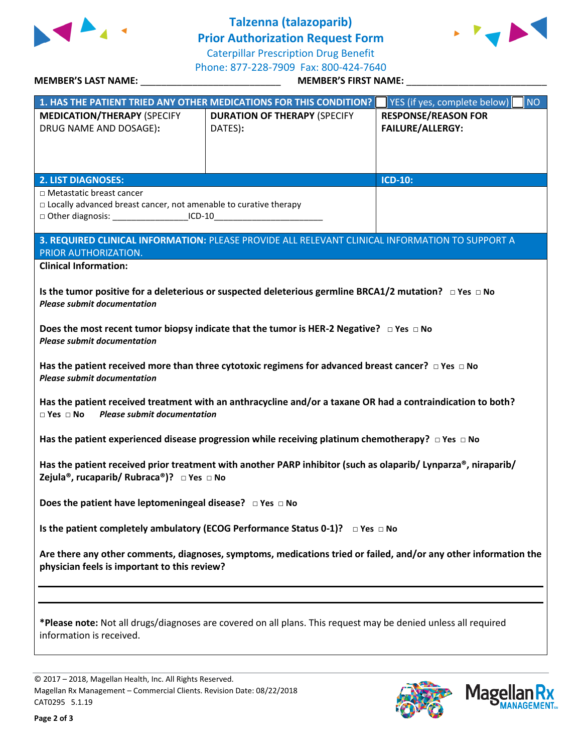

## **Talzenna (talazoparib)**

**Prior Authorization Request Form**



Caterpillar Prescription Drug Benefit

Phone: 877-228-7909 Fax: 800-424-7640

## **MEMBER'S LAST NAME:** \_\_\_\_\_\_\_\_\_\_\_\_\_\_\_\_\_\_\_\_\_\_\_\_\_\_\_ **MEMBER'S FIRST NAME:** \_\_\_\_\_\_\_\_\_\_\_\_\_\_\_\_\_\_\_\_\_\_\_\_\_\_\_

|                                                                                                                  | 1. HAS THE PATIENT TRIED ANY OTHER MEDICATIONS FOR THIS CONDITION?                                               | YES (if yes, complete below)<br><b>NO</b> |  |  |
|------------------------------------------------------------------------------------------------------------------|------------------------------------------------------------------------------------------------------------------|-------------------------------------------|--|--|
| <b>MEDICATION/THERAPY (SPECIFY</b>                                                                               | <b>DURATION OF THERAPY (SPECIFY</b>                                                                              | <b>RESPONSE/REASON FOR</b>                |  |  |
| DRUG NAME AND DOSAGE):                                                                                           | DATES):                                                                                                          | <b>FAILURE/ALLERGY:</b>                   |  |  |
|                                                                                                                  |                                                                                                                  |                                           |  |  |
|                                                                                                                  |                                                                                                                  |                                           |  |  |
|                                                                                                                  |                                                                                                                  |                                           |  |  |
| <b>2. LIST DIAGNOSES:</b>                                                                                        |                                                                                                                  | <b>ICD-10:</b>                            |  |  |
| $\Box$ Metastatic breast cancer                                                                                  |                                                                                                                  |                                           |  |  |
| $\Box$ Locally advanced breast cancer, not amenable to curative therapy                                          |                                                                                                                  |                                           |  |  |
| □ Other diagnosis: ____________________ICD-10__________________________________                                  |                                                                                                                  |                                           |  |  |
|                                                                                                                  | 3. REQUIRED CLINICAL INFORMATION: PLEASE PROVIDE ALL RELEVANT CLINICAL INFORMATION TO SUPPORT A                  |                                           |  |  |
| PRIOR AUTHORIZATION.                                                                                             |                                                                                                                  |                                           |  |  |
| <b>Clinical Information:</b>                                                                                     |                                                                                                                  |                                           |  |  |
|                                                                                                                  |                                                                                                                  |                                           |  |  |
|                                                                                                                  | Is the tumor positive for a deleterious or suspected deleterious germline BRCA1/2 mutation? $\Box$ Yes $\Box$ No |                                           |  |  |
| <b>Please submit documentation</b>                                                                               |                                                                                                                  |                                           |  |  |
|                                                                                                                  |                                                                                                                  |                                           |  |  |
|                                                                                                                  | Does the most recent tumor biopsy indicate that the tumor is HER-2 Negative? $\Box$ Yes $\Box$ No                |                                           |  |  |
| <b>Please submit documentation</b>                                                                               |                                                                                                                  |                                           |  |  |
|                                                                                                                  |                                                                                                                  |                                           |  |  |
|                                                                                                                  | Has the patient received more than three cytotoxic regimens for advanced breast cancer? $\Box$ Yes $\Box$ No     |                                           |  |  |
| <b>Please submit documentation</b>                                                                               |                                                                                                                  |                                           |  |  |
|                                                                                                                  | Has the patient received treatment with an anthracycline and/or a taxane OR had a contraindication to both?      |                                           |  |  |
| $\Box$ Yes $\Box$ No<br><b>Please submit documentation</b>                                                       |                                                                                                                  |                                           |  |  |
|                                                                                                                  |                                                                                                                  |                                           |  |  |
|                                                                                                                  | Has the patient experienced disease progression while receiving platinum chemotherapy? $\Box$ Yes $\Box$ No      |                                           |  |  |
|                                                                                                                  |                                                                                                                  |                                           |  |  |
|                                                                                                                  | Has the patient received prior treatment with another PARP inhibitor (such as olaparib/ Lynparza®, niraparib/    |                                           |  |  |
| Zejula®, rucaparib/ Rubraca®)? □ Yes □ No                                                                        |                                                                                                                  |                                           |  |  |
|                                                                                                                  |                                                                                                                  |                                           |  |  |
| Does the patient have leptomeningeal disease? $\Box$ Yes $\Box$ No                                               |                                                                                                                  |                                           |  |  |
|                                                                                                                  |                                                                                                                  |                                           |  |  |
| Is the patient completely ambulatory (ECOG Performance Status 0-1)? $\Box$ Yes $\Box$ No                         |                                                                                                                  |                                           |  |  |
|                                                                                                                  |                                                                                                                  |                                           |  |  |
| Are there any other comments, diagnoses, symptoms, medications tried or failed, and/or any other information the |                                                                                                                  |                                           |  |  |
| physician feels is important to this review?                                                                     |                                                                                                                  |                                           |  |  |
|                                                                                                                  |                                                                                                                  |                                           |  |  |
|                                                                                                                  |                                                                                                                  |                                           |  |  |
|                                                                                                                  |                                                                                                                  |                                           |  |  |
|                                                                                                                  | *Please note: Not all drugs/diagnoses are covered on all plans. This request may be denied unless all required   |                                           |  |  |
| information is received.                                                                                         |                                                                                                                  |                                           |  |  |
|                                                                                                                  |                                                                                                                  |                                           |  |  |
|                                                                                                                  |                                                                                                                  |                                           |  |  |

© 2017 – 2018, Magellan Health, Inc. All Rights Reserved. Magellan Rx Management – Commercial Clients. Revision Date: 08/22/2018 CAT0295 5.1.19



*AANAGE*